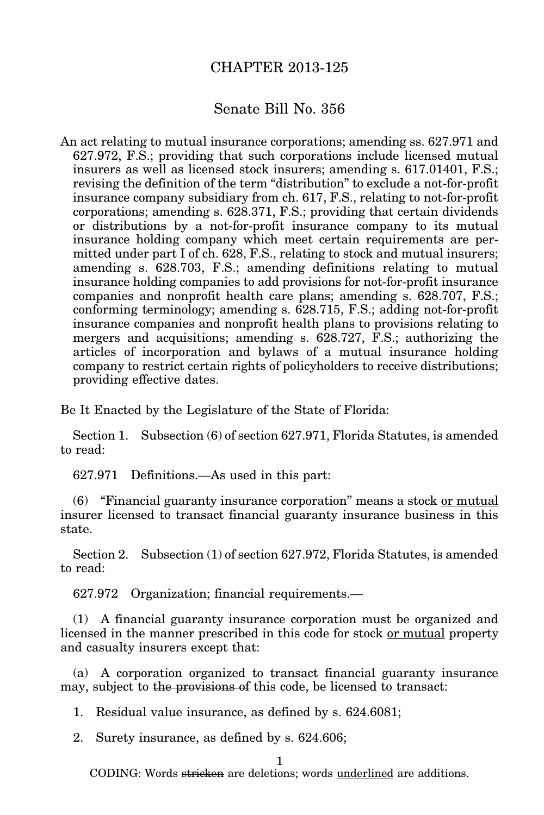## CHAPTER 2013-125

## Senate Bill No. 356

An act relating to mutual insurance corporations; amending ss. 627.971 and 627.972, F.S.; providing that such corporations include licensed mutual insurers as well as licensed stock insurers; amending s. 617.01401, F.S.; revising the definition of the term "distribution" to exclude a not-for-profit insurance company subsidiary from ch. 617, F.S., relating to not-for-profit corporations; amending s. 628.371, F.S.; providing that certain dividends or distributions by a not-for-profit insurance company to its mutual insurance holding company which meet certain requirements are permitted under part I of ch. 628, F.S., relating to stock and mutual insurers; amending s. 628.703, F.S.; amending definitions relating to mutual insurance holding companies to add provisions for not-for-profit insurance companies and nonprofit health care plans; amending s. 628.707, F.S.; conforming terminology; amending s. 628.715, F.S.; adding not-for-profit insurance companies and nonprofit health plans to provisions relating to mergers and acquisitions; amending s. 628.727, F.S.; authorizing the articles of incorporation and bylaws of a mutual insurance holding company to restrict certain rights of policyholders to receive distributions; providing effective dates.

Be It Enacted by the Legislature of the State of Florida:

Section 1. Subsection (6) of section 627.971, Florida Statutes, is amended to read:

627.971 Definitions.—As used in this part:

(6) "Financial guaranty insurance corporation" means a stock or mutual insurer licensed to transact financial guaranty insurance business in this state.

Section 2. Subsection (1) of section 627.972, Florida Statutes, is amended to read:

627.972 Organization; financial requirements.—

(1) A financial guaranty insurance corporation must be organized and licensed in the manner prescribed in this code for stock or mutual property and casualty insurers except that:

(a) A corporation organized to transact financial guaranty insurance may, subject to the provisions of this code, be licensed to transact:

1. Residual value insurance, as defined by s. 624.6081;

2. Surety insurance, as defined by s. 624.606;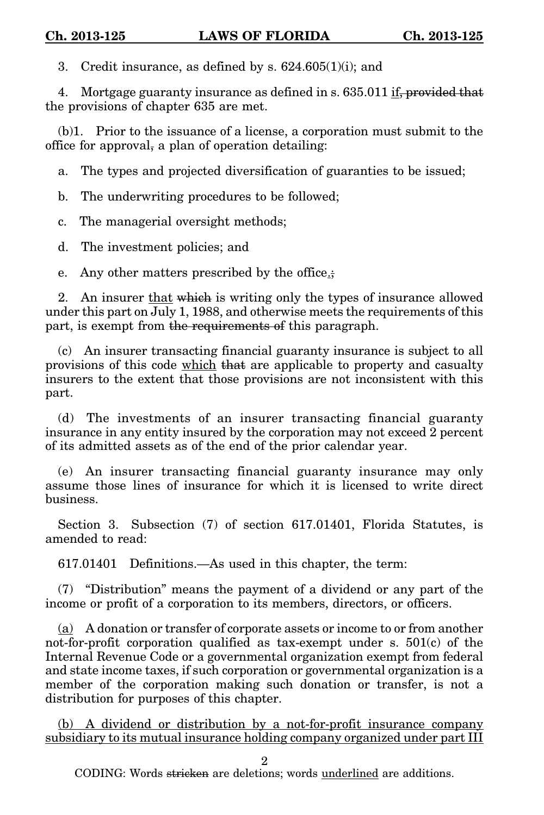3. Credit insurance, as defined by s.  $624.605(1)(i)$ ; and

4. Mortgage guaranty insurance as defined in s. 635.011 if, provided that the provisions of chapter 635 are met.

(b)1. Prior to the issuance of a license, a corporation must submit to the office for approval, a plan of operation detailing:

a. The types and projected diversification of guaranties to be issued;

b. The underwriting procedures to be followed;

c. The managerial oversight methods;

d. The investment policies; and

e. Any other matters prescribed by the office.;

2. An insurer that which is writing only the types of insurance allowed under this part on July 1, 1988, and otherwise meets the requirements of this part, is exempt from the requirements of this paragraph.

(c) An insurer transacting financial guaranty insurance is subject to all provisions of this code which that are applicable to property and casualty insurers to the extent that those provisions are not inconsistent with this part.

(d) The investments of an insurer transacting financial guaranty insurance in any entity insured by the corporation may not exceed 2 percent of its admitted assets as of the end of the prior calendar year.

(e) An insurer transacting financial guaranty insurance may only assume those lines of insurance for which it is licensed to write direct business.

Section 3. Subsection (7) of section 617.01401, Florida Statutes, is amended to read:

617.01401 Definitions.—As used in this chapter, the term:

(7) "Distribution" means the payment of a dividend or any part of the income or profit of a corporation to its members, directors, or officers.

(a) A donation or transfer of corporate assets or income to or from another not-for-profit corporation qualified as tax-exempt under s. 501(c) of the Internal Revenue Code or a governmental organization exempt from federal and state income taxes, if such corporation or governmental organization is a member of the corporation making such donation or transfer, is not a distribution for purposes of this chapter.

(b) A dividend or distribution by a not-for-profit insurance company subsidiary to its mutual insurance holding company organized under part III

2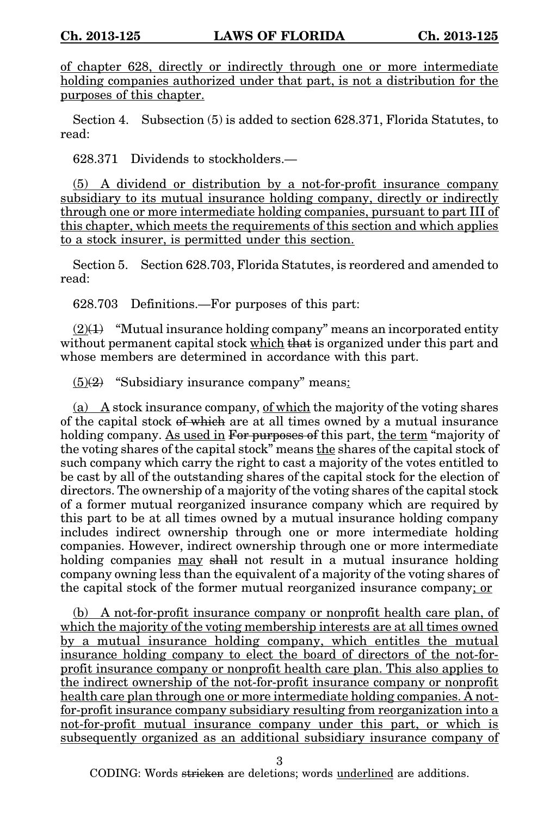of chapter 628, directly or indirectly through one or more intermediate holding companies authorized under that part, is not a distribution for the purposes of this chapter.

Section 4. Subsection (5) is added to section 628.371, Florida Statutes, to read:

628.371 Dividends to stockholders.—

(5) A dividend or distribution by a not-for-profit insurance company subsidiary to its mutual insurance holding company, directly or indirectly through one or more intermediate holding companies, pursuant to part III of this chapter, which meets the requirements of this section and which applies to a stock insurer, is permitted under this section.

Section 5. Section 628.703, Florida Statutes, is reordered and amended to read:

628.703 Definitions.—For purposes of this part:

 $(2)(1)$  "Mutual insurance holding company" means an incorporated entity without permanent capital stock which that is organized under this part and whose members are determined in accordance with this part.

 $(5)(2)$  "Subsidiary insurance company" means:

(a) A stock insurance company, of which the majority of the voting shares of the capital stock of which are at all times owned by a mutual insurance holding company. As used in For purposes of this part, the term "majority of the voting shares of the capital stock" means the shares of the capital stock of such company which carry the right to cast a majority of the votes entitled to be cast by all of the outstanding shares of the capital stock for the election of directors. The ownership of a majority of the voting shares of the capital stock of a former mutual reorganized insurance company which are required by this part to be at all times owned by a mutual insurance holding company includes indirect ownership through one or more intermediate holding companies. However, indirect ownership through one or more intermediate holding companies may shall not result in a mutual insurance holding company owning less than the equivalent of a majority of the voting shares of the capital stock of the former mutual reorganized insurance company; or

(b) A not-for-profit insurance company or nonprofit health care plan, of which the majority of the voting membership interests are at all times owned by a mutual insurance holding company, which entitles the mutual insurance holding company to elect the board of directors of the not-forprofit insurance company or nonprofit health care plan. This also applies to the indirect ownership of the not-for-profit insurance company or nonprofit health care plan through one or more intermediate holding companies. A notfor-profit insurance company subsidiary resulting from reorganization into a not-for-profit mutual insurance company under this part, or which is subsequently organized as an additional subsidiary insurance company of

3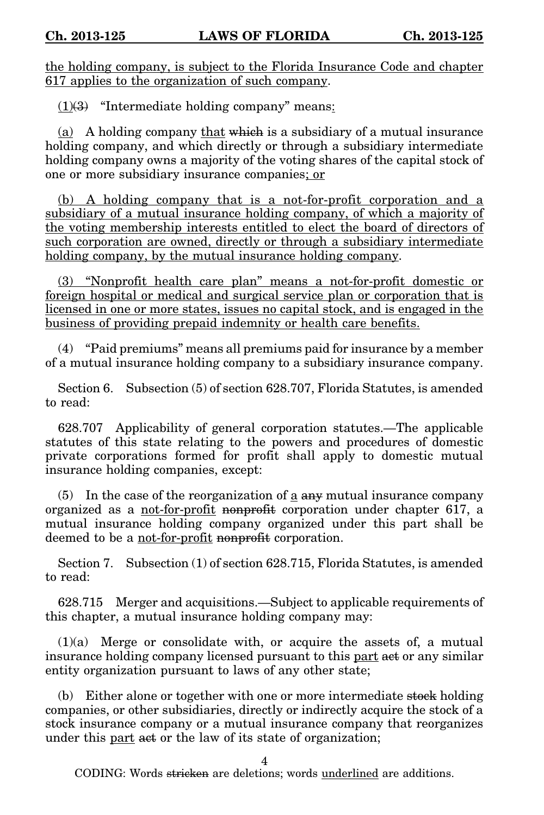the holding company, is subject to the Florida Insurance Code and chapter 617 applies to the organization of such company.

 $(1)(3)$  "Intermediate holding company" means:

(a) A holding company that which is a subsidiary of a mutual insurance holding company, and which directly or through a subsidiary intermediate holding company owns a majority of the voting shares of the capital stock of one or more subsidiary insurance companies; or

(b) A holding company that is a not-for-profit corporation and a subsidiary of a mutual insurance holding company, of which a majority of the voting membership interests entitled to elect the board of directors of such corporation are owned, directly or through a subsidiary intermediate holding company, by the mutual insurance holding company.

(3) "Nonprofit health care plan" means a not-for-profit domestic or foreign hospital or medical and surgical service plan or corporation that is licensed in one or more states, issues no capital stock, and is engaged in the business of providing prepaid indemnity or health care benefits.

(4) "Paid premiums" means all premiums paid for insurance by a member of a mutual insurance holding company to a subsidiary insurance company.

Section 6. Subsection (5) of section 628.707, Florida Statutes, is amended to read:

628.707 Applicability of general corporation statutes.—The applicable statutes of this state relating to the powers and procedures of domestic private corporations formed for profit shall apply to domestic mutual insurance holding companies, except:

(5) In the case of the reorganization of  $\underline{a}$  any mutual insurance company organized as a not-for-profit nonprofit corporation under chapter 617, a mutual insurance holding company organized under this part shall be deemed to be a not-for-profit nonprofit corporation.

Section 7. Subsection (1) of section 628.715, Florida Statutes, is amended to read:

628.715 Merger and acquisitions.—Subject to applicable requirements of this chapter, a mutual insurance holding company may:

 $(1)(a)$  Merge or consolidate with, or acquire the assets of, a mutual insurance holding company licensed pursuant to this part act or any similar entity organization pursuant to laws of any other state;

(b) Either alone or together with one or more intermediate stock holding companies, or other subsidiaries, directly or indirectly acquire the stock of a stock insurance company or a mutual insurance company that reorganizes under this part act or the law of its state of organization;

4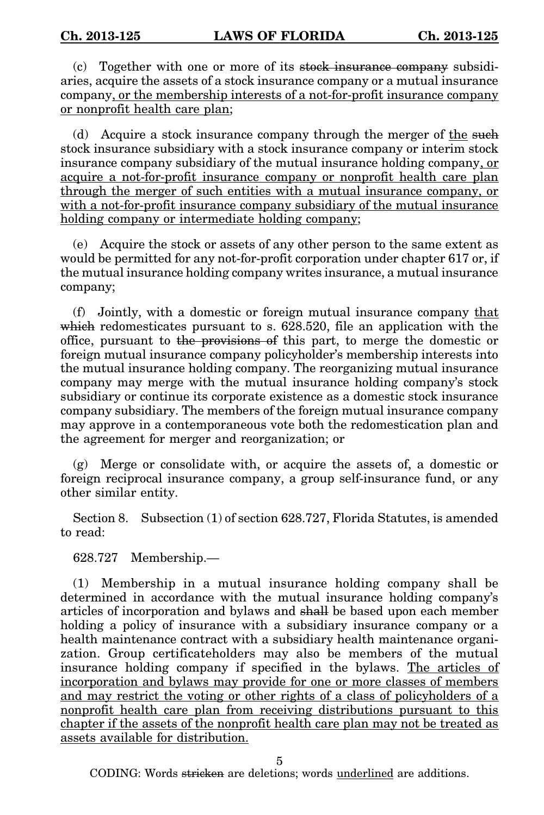(c) Together with one or more of its stock insurance company subsidiaries, acquire the assets of a stock insurance company or a mutual insurance company, or the membership interests of a not-for-profit insurance company or nonprofit health care plan;

(d) Acquire a stock insurance company through the merger of the such stock insurance subsidiary with a stock insurance company or interim stock insurance company subsidiary of the mutual insurance holding company, or acquire a not-for-profit insurance company or nonprofit health care plan through the merger of such entities with a mutual insurance company, or with a not-for-profit insurance company subsidiary of the mutual insurance holding company or intermediate holding company;

(e) Acquire the stock or assets of any other person to the same extent as would be permitted for any not-for-profit corporation under chapter 617 or, if the mutual insurance holding company writes insurance, a mutual insurance company;

(f) Jointly, with a domestic or foreign mutual insurance company that which redomesticates pursuant to s. 628.520, file an application with the office, pursuant to the provisions of this part, to merge the domestic or foreign mutual insurance company policyholder's membership interests into the mutual insurance holding company. The reorganizing mutual insurance company may merge with the mutual insurance holding company's stock subsidiary or continue its corporate existence as a domestic stock insurance company subsidiary. The members of the foreign mutual insurance company may approve in a contemporaneous vote both the redomestication plan and the agreement for merger and reorganization; or

(g) Merge or consolidate with, or acquire the assets of, a domestic or foreign reciprocal insurance company, a group self-insurance fund, or any other similar entity.

Section 8. Subsection (1) of section 628.727, Florida Statutes, is amended to read:

628.727 Membership.—

(1) Membership in a mutual insurance holding company shall be determined in accordance with the mutual insurance holding company's articles of incorporation and bylaws and shall be based upon each member holding a policy of insurance with a subsidiary insurance company or a health maintenance contract with a subsidiary health maintenance organization. Group certificateholders may also be members of the mutual insurance holding company if specified in the bylaws. The articles of incorporation and bylaws may provide for one or more classes of members and may restrict the voting or other rights of a class of policyholders of a nonprofit health care plan from receiving distributions pursuant to this chapter if the assets of the nonprofit health care plan may not be treated as assets available for distribution.

5